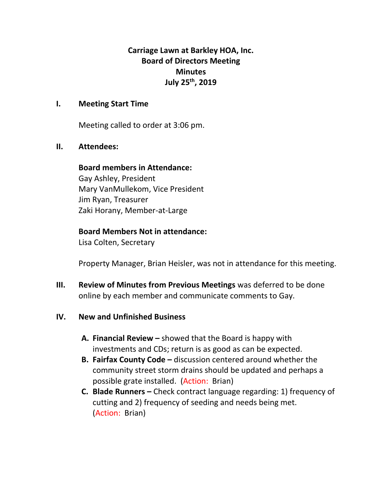**Carriage Lawn at Barkley HOA, Inc. Board of Directors Meeting Minutes July 25th, 2019**

# **I. Meeting Start Time**

Meeting called to order at 3:06 pm.

## **II. Attendees:**

### **Board members in Attendance:**

Gay Ashley, President Mary VanMullekom, Vice President Jim Ryan, Treasurer Zaki Horany, Member-at-Large

# **Board Members Not in attendance:**

Lisa Colten, Secretary

Property Manager, Brian Heisler, was not in attendance for this meeting.

**III. Review of Minutes from Previous Meetings** was deferred to be done online by each member and communicate comments to Gay.

# **IV. New and Unfinished Business**

- **A. Financial Review –** showed that the Board is happy with investments and CDs; return is as good as can be expected.
- **B. Fairfax County Code –** discussion centered around whether the community street storm drains should be updated and perhaps a possible grate installed. (Action: Brian)
- **C. Blade Runners –** Check contract language regarding: 1) frequency of cutting and 2) frequency of seeding and needs being met. (Action: Brian)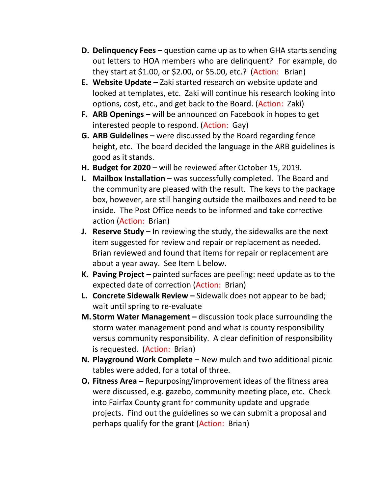- **D. Delinquency Fees –** question came up as to when GHA starts sending out letters to HOA members who are delinquent? For example, do they start at \$1.00, or \$2.00, or \$5.00, etc.? (Action: Brian)
- **E. Website Update –** Zaki started research on website update and looked at templates, etc. Zaki will continue his research looking into options, cost, etc., and get back to the Board. (Action: Zaki)
- **F. ARB Openings –** will be announced on Facebook in hopes to get interested people to respond. (Action: Gay)
- **G. ARB Guidelines –** were discussed by the Board regarding fence height, etc. The board decided the language in the ARB guidelines is good as it stands.
- **H. Budget for 2020 –** will be reviewed after October 15, 2019.
- **I. Mailbox Installation –** was successfully completed. The Board and the community are pleased with the result. The keys to the package box, however, are still hanging outside the mailboxes and need to be inside. The Post Office needs to be informed and take corrective action (Action: Brian)
- **J. Reserve Study –** In reviewing the study, the sidewalks are the next item suggested for review and repair or replacement as needed. Brian reviewed and found that items for repair or replacement are about a year away. See Item L below.
- **K. Paving Project –** painted surfaces are peeling: need update as to the expected date of correction (Action: Brian)
- **L. Concrete Sidewalk Review –** Sidewalk does not appear to be bad; wait until spring to re-evaluate
- **M. Storm Water Management –** discussion took place surrounding the storm water management pond and what is county responsibility versus community responsibility. A clear definition of responsibility is requested. (Action: Brian)
- **N. Playground Work Complete –** New mulch and two additional picnic tables were added, for a total of three.
- **O. Fitness Area –** Repurposing/improvement ideas of the fitness area were discussed, e.g. gazebo, community meeting place, etc. Check into Fairfax County grant for community update and upgrade projects. Find out the guidelines so we can submit a proposal and perhaps qualify for the grant (Action: Brian)